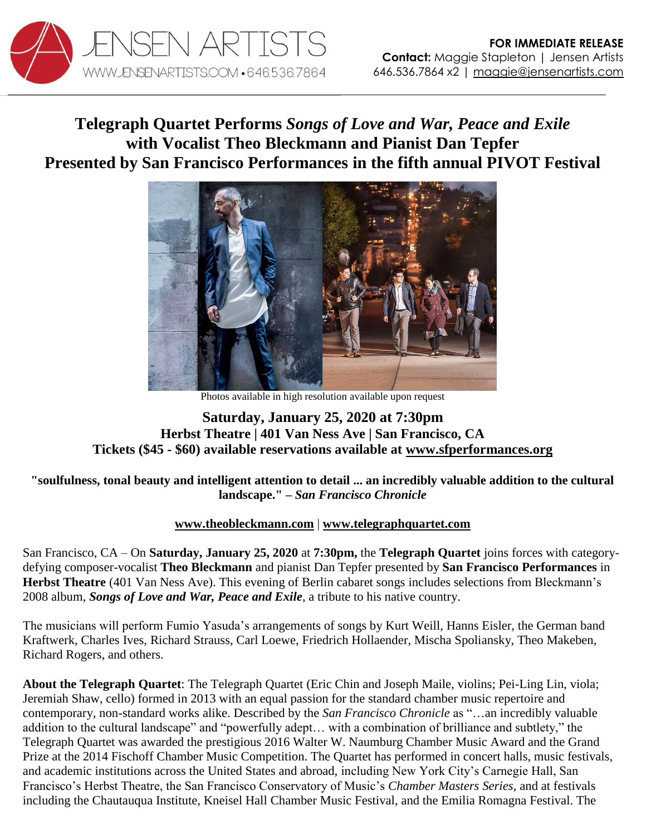

## **Telegraph Quartet Performs** *Songs of Love and War, Peace and Exile* **with Vocalist Theo Bleckmann and Pianist Dan Tepfer Presented by San Francisco Performances in the fifth annual PIVOT Festival**



Photos available in high resolution available upon request

## **Saturday, January 25, 2020 at 7:30pm Herbst Theatre | 401 Van Ness Ave | San Francisco, CA Tickets (\$45 - \$60) available reservations available at [www.sfperformances.org](https://sfperformances.org/performances/1920/BleckmannTelegraph.html)**

## **"soulfulness, tonal beauty and intelligent attention to detail ... an incredibly valuable addition to the cultural landscape." –** *San Francisco Chronicle*

## **[www.theobleckmann.com](http://www.theobleckmann.com/)** | **[www.telegraphquartet.com](http://www.telegraphquartet.com/)**

San Francisco, CA – On **Saturday, January 25, 2020** at **7:30pm,** the **Telegraph Quartet** joins forces with categorydefying composer-vocalist **Theo Bleckmann** and pianist Dan Tepfer presented by **San Francisco Performances** in **Herbst Theatre** (401 Van Ness Ave). This evening of Berlin cabaret songs includes selections from Bleckmann's 2008 album, *Songs of Love and War, Peace and Exile*, a tribute to his native country.

The musicians will perform Fumio Yasuda's arrangements of songs by Kurt Weill, Hanns Eisler, the German band Kraftwerk, Charles Ives, Richard Strauss, Carl Loewe, Friedrich Hollaender, Mischa Spoliansky, Theo Makeben, Richard Rogers, and others.

**About the Telegraph Quartet**: The Telegraph Quartet (Eric Chin and Joseph Maile, violins; Pei-Ling Lin, viola; Jeremiah Shaw, cello) formed in 2013 with an equal passion for the standard chamber music repertoire and contemporary, non-standard works alike. Described by the *San Francisco Chronicle* as "…an incredibly valuable addition to the cultural landscape" and "powerfully adept… with a combination of brilliance and subtlety," the Telegraph Quartet was awarded the prestigious 2016 Walter W. Naumburg Chamber Music Award and the Grand Prize at the 2014 Fischoff Chamber Music Competition. The Quartet has performed in concert halls, music festivals, and academic institutions across the United States and abroad, including New York City's Carnegie Hall, San Francisco's Herbst Theatre, the San Francisco Conservatory of Music's *Chamber Masters Series*, and at festivals including the Chautauqua Institute, Kneisel Hall Chamber Music Festival, and the Emilia Romagna Festival. The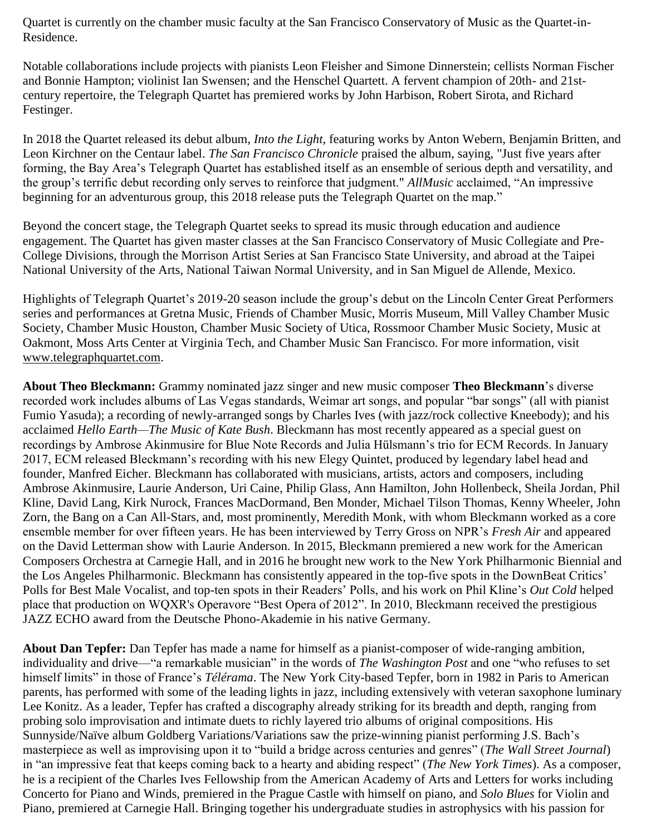Quartet is currently on the chamber music faculty at the San Francisco Conservatory of Music as the Quartet-in-Residence.

Notable collaborations include projects with pianists Leon Fleisher and Simone Dinnerstein; cellists Norman Fischer and Bonnie Hampton; violinist Ian Swensen; and the Henschel Quartett. A fervent champion of 20th- and 21stcentury repertoire, the Telegraph Quartet has premiered works by John Harbison, Robert Sirota, and Richard Festinger.

In 2018 the Quartet released its debut album, *Into the Light*, featuring works by Anton Webern, Benjamin Britten, and Leon Kirchner on the Centaur label. *The San Francisco Chronicle* praised the album, saying, "Just five years after forming, the Bay Area's Telegraph Quartet has established itself as an ensemble of serious depth and versatility, and the group's terrific debut recording only serves to reinforce that judgment." *AllMusic* acclaimed, "An impressive beginning for an adventurous group, this 2018 release puts the Telegraph Quartet on the map."

Beyond the concert stage, the Telegraph Quartet seeks to spread its music through education and audience engagement. The Quartet has given master classes at the San Francisco Conservatory of Music Collegiate and Pre-College Divisions, through the Morrison Artist Series at San Francisco State University, and abroad at the Taipei National University of the Arts, National Taiwan Normal University, and in San Miguel de Allende, Mexico.

Highlights of Telegraph Quartet's 2019-20 season include the group's debut on the Lincoln Center Great Performers series and performances at Gretna Music, Friends of Chamber Music, Morris Museum, Mill Valley Chamber Music Society, Chamber Music Houston, Chamber Music Society of Utica, Rossmoor Chamber Music Society, Music at Oakmont, Moss Arts Center at Virginia Tech, and Chamber Music San Francisco. For more information, visi[t](http://www.telegraphquartet.com/) [www.telegraphquartet.com.](http://www.telegraphquartet.com/)

**About Theo Bleckmann:** Grammy nominated jazz singer and new music composer **Theo Bleckmann**'s diverse recorded work includes albums of Las Vegas standards, Weimar art songs, and popular "bar songs" (all with pianist Fumio Yasuda); a recording of newly-arranged songs by Charles Ives (with jazz/rock collective Kneebody); and his acclaimed *Hello Earth—The Music of Kate Bush*. Bleckmann has most recently appeared as a special guest on recordings by Ambrose Akinmusire for Blue Note Records and Julia Hülsmann's trio for ECM Records. In January 2017, ECM released Bleckmann's recording with his new Elegy Quintet, produced by legendary label head and founder, Manfred Eicher. Bleckmann has collaborated with musicians, artists, actors and composers, including Ambrose Akinmusire, Laurie Anderson, Uri Caine, Philip Glass, Ann Hamilton, John Hollenbeck, Sheila Jordan, Phil Kline, David Lang, Kirk Nurock, Frances MacDormand, Ben Monder, Michael Tilson Thomas, Kenny Wheeler, John Zorn, the Bang on a Can All-Stars, and, most prominently, Meredith Monk, with whom Bleckmann worked as a core ensemble member for over fifteen years. He has been interviewed by Terry Gross on NPR's *Fresh Air* and appeared on the David Letterman show with Laurie Anderson. In 2015, Bleckmann premiered a new work for the American Composers Orchestra at Carnegie Hall, and in 2016 he brought new work to the New York Philharmonic Biennial and the Los Angeles Philharmonic. Bleckmann has consistently appeared in the top-five spots in the DownBeat Critics' Polls for Best Male Vocalist, and top-ten spots in their Readers' Polls, and his work on Phil Kline's *Out Cold* helped place that production on WQXR's Operavore "Best Opera of 2012". In 2010, Bleckmann received the prestigious JAZZ ECHO award from the Deutsche Phono-Akademie in his native Germany.

**About Dan Tepfer:** Dan Tepfer has made a name for himself as a pianist-composer of wide-ranging ambition, individuality and drive—"a remarkable musician" in the words of *The Washington Post* and one "who refuses to set himself limits" in those of France's *Télérama*. The New York City-based Tepfer, born in 1982 in Paris to American parents, has performed with some of the leading lights in jazz, including extensively with veteran saxophone luminary Lee Konitz. As a leader, Tepfer has crafted a discography already striking for its breadth and depth, ranging from probing solo improvisation and intimate duets to richly layered trio albums of original compositions. His Sunnyside/Naïve album Goldberg Variations/Variations saw the prize-winning pianist performing J.S. Bach's masterpiece as well as improvising upon it to "build a bridge across centuries and genres" (*The Wall Street Journal*) in "an impressive feat that keeps coming back to a hearty and abiding respect" (*The New York Times*). As a composer, he is a recipient of the Charles Ives Fellowship from the American Academy of Arts and Letters for works including Concerto for Piano and Winds, premiered in the Prague Castle with himself on piano, and *Solo Blues* for Violin and Piano, premiered at Carnegie Hall. Bringing together his undergraduate studies in astrophysics with his passion for